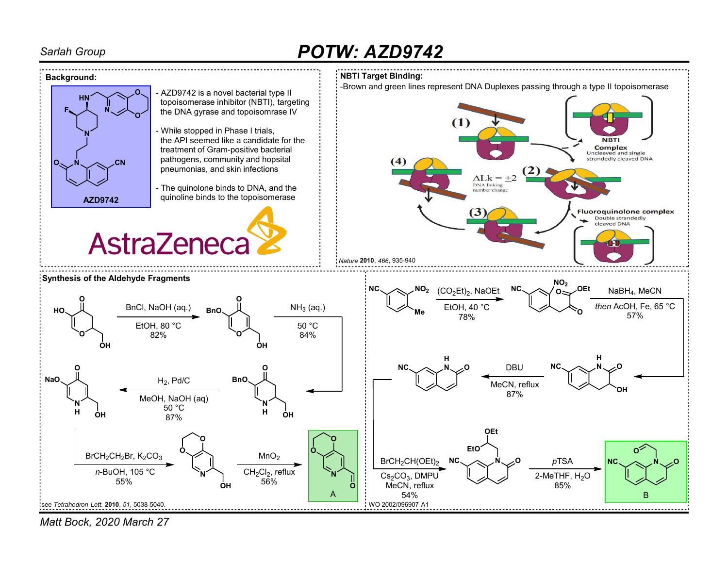# Sarlah Group **POTW: AZD9742**



Matt Bock, 2020 March 27